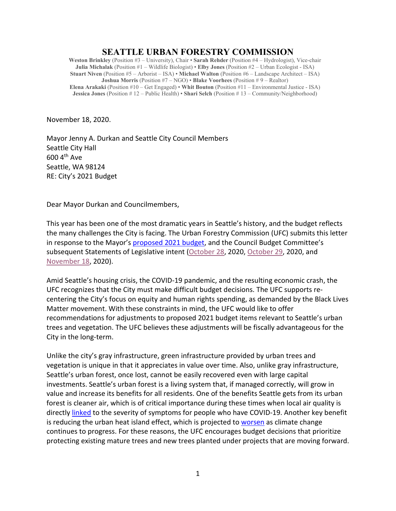# **SEATTLE URBAN FORESTRY COMMISSION**

**Weston Brinkley** (Position #3 – University), Chair • **Sarah Rehder** (Position #4 – Hydrologist), Vice-chair **Julia Michalak** (Position #1 – Wildlife Biologist) • **Elby Jones** (Position #2 – Urban Ecologist - ISA) **Stuart Niven** (Position #5 – Arborist – ISA) • **Michael Walton** (Position #6 – Landscape Architect – ISA) **Joshua Morris** (Position #7 – NGO) • **Blake Voorhees** (Position # 9 – Realtor) **Elena Arakaki** (Position #10 – Get Engaged) • **Whit Bouton** (Position #11 – Environmental Justice - ISA) **Jessica Jones** (Position # 12 – Public Health) • **Shari Selch** (Position # 13 – Community/Neighborhood)

November 18, 2020.

Mayor Jenny A. Durkan and Seattle City Council Members Seattle City Hall 600 4th Ave Seattle, WA 98124 RE: City's 2021 Budget

Dear Mayor Durkan and Councilmembers,

This year has been one of the most dramatic years in Seattle's history, and the budget reflects the many challenges the City is facing. The Urban Forestry Commission (UFC) submits this letter in response to the Mayor's [proposed 2021 budget,](http://www.seattle.gov/Documents/Departments/FinanceDepartment/21proposedbudget/2021%20Proposed%20Budget.pdf) and the Council Budget Committee's subsequent Statements of Legislative intent [\(October 28,](http://www.seattle.gov/Documents/Departments/UrbanForestryCommission/2020/2020docs/Oct28SLIs.pdf) 2020, [October 29,](http://www.seattle.gov/Documents/Departments/UrbanForestryCommission/2020/2020docs/Oct29SLIs.pdf) 2020, and [November 18,](http://seattle.legistar.com/View.ashx?M=A&ID=808869&GUID=55486346-FB89-40C8-AEF7-F2FEC1D769E7) 2020).

Amid Seattle's housing crisis, the COVID-19 pandemic, and the resulting economic crash, the UFC recognizes that the City must make difficult budget decisions. The UFC supports recentering the City's focus on equity and human rights spending, as demanded by the Black Lives Matter movement. With these constraints in mind, the UFC would like to offer recommendations for adjustments to proposed 2021 budget items relevant to Seattle's urban trees and vegetation. The UFC believes these adjustments will be fiscally advantageous for the City in the long-term.

Unlike the city's gray infrastructure, green infrastructure provided by urban trees and vegetation is unique in that it appreciates in value over time. Also, unlike gray infrastructure, Seattle's urban forest, once lost, cannot be easily recovered even with large capital investments. Seattle's urban forest is a living system that, if managed correctly, will grow in value and increase its benefits for all residents. One of the benefits Seattle gets from its urban forest is cleaner air, which is of critical importance during these times when local air quality is directly [linked](https://scopeblog.stanford.edu/2020/07/17/why-air-pollution-is-linked-to-severe-cases-of-covid-19/) to the severity of symptoms for people who have COVID-19. Another key benefit is reducing the urban heat island effect, which is projected to [worsen](https://www.epa.gov/heatislands/climate-change-and-heat-islands) as climate change continues to progress. For these reasons, the UFC encourages budget decisions that prioritize protecting existing mature trees and new trees planted under projects that are moving forward.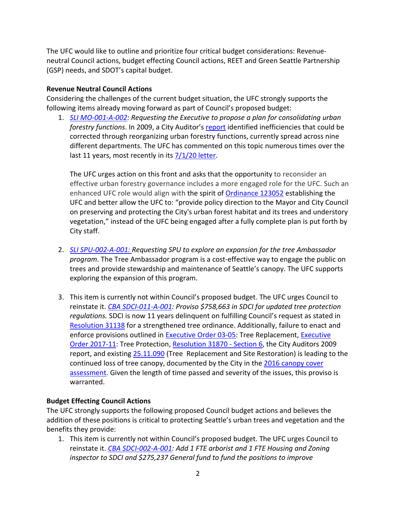The UFC would like to outline and prioritize four critical budget considerations: Revenueneutral Council actions, budget effecting Council actions, REET and Green Seattle Partnership (GSP) needs, and SDOT's capital budget.

### **Revenue Neutral Council Actions**

Considering the challenges of the current budget situation, the UFC strongly supports the following items already moving forward as part of Council's proposed budget:

1. *[SLI MO-001-A-002:](file://COSFS01/OSE/Data/EsdOEM/Urban%20Forestry/Urban%20Forest%20Management/UF%20IDT/CoreTeam/2021/UFConsolidationSLI/SLI-MO-001-A-002-UFConsolidation.pdf) Requesting the Executive to propose a plan for consolidating urban forestry functions*. In 2009, a City Auditor's [report](http://www.seattle.gov/Documents/Departments/UrbanForestryCommission/Resources/TreeAuditReport20090515.pdf) identified inefficiencies that could be corrected through reorganizing urban forestry functions, currently spread across nine different departments. The UFC has commented on this topic numerous times over the last 11 years, most recently in its  $7/1/20$  letter.

The UFC urges action on this front and asks that the opportunity to reconsider an effective urban forestry governance includes a more engaged role for the UFC. Such an enhanced UFC role would align with the spirit of [Ordinance 123052](http://clerk.ci.seattle.wa.us/search/results?s1=urban+forestry+commission&l=200&Sect1=IMAGE&Sect2=THESON&Sect3=PLURON&Sect4=AND&Sect5=LEGI2&Sect6=HITOFF&d=LEGC&p=1&u=%2Fsearch%2Fcombined&r=64&f=G) establishing the UFC and better allow the UFC to: "provide policy direction to the Mayor and City Council on preserving and protecting the City's urban forest habitat and its trees and understory vegetation," instead of the UFC being engaged after a fully complete plan is put forth by City staff.

- 2. *[SLI SPU-002-A-001:](http://seattle.legistar.com/View.ashx?M=F&ID=8877205&GUID=8F255D8C-8E16-4D59-AD7B-CEFBC44401AC) Requesting SPU to explore an expansion for the tree Ambassador program*. The Tree Ambassador program is a cost-effective way to engage the public on trees and provide stewardship and maintenance of Seattle's canopy. The UFC supports exploring the expansion of this program.
- 3. This item is currently not within Council's proposed budget. The UFC urges Council to reinstate it. *[CBA SDCI-011-A-001:](http://seattle.legistar.com/View.ashx?M=F&ID=8879248&GUID=F090C7F7-37FB-44FF-A566-6307B19E34F3) Proviso \$758,663 in SDCI for updated tree protection regulations.* SDCI is now 11 years delinquent on fulfilling Council's request as stated in [Resolution 31138](http://clerk.ci.seattle.wa.us/search/resolutions/31138) for a strengthened tree ordinance. Additionally, failure to enact and enforce provisions outlined in [Executive Order](http://clerk.ci.seattle.wa.us/search/results?s1=executive+order+03-05&l=200&Sect1=IMAGE&Sect2=THESON&Sect3=PLURON&Sect4=AND&Sect5=LEGI2&Sect6=HITOFF&d=LEGC&p=1&u=%2Fsearch%2Fcombined&r=2&f=G) 03-05: Tree Replacement, [Executive](http://clerk.ci.seattle.wa.us/search/results?s1=executive+order+2017-11&l=200&Sect1=IMAGE&Sect2=THESON&Sect3=PLURON&Sect4=AND&Sect5=LEGI2&Sect6=HITOFF&d=LEGC&p=1&u=%2Fsearch%2Fcombined&r=2&f=G)  Order [2017-11:](http://clerk.ci.seattle.wa.us/search/results?s1=executive+order+2017-11&l=200&Sect1=IMAGE&Sect2=THESON&Sect3=PLURON&Sect4=AND&Sect5=LEGI2&Sect6=HITOFF&d=LEGC&p=1&u=%2Fsearch%2Fcombined&r=2&f=G) Tree Protection, [Resolution 31870](http://clerk.ci.seattle.wa.us/search/resolutions/31870) - Section 6, the City Auditors 2009 report, and existing [25.11.090](https://library.municode.com/wa/seattle/codes/municipal_code?nodeId=TIT25ENPRHIPR_CH25.11TRPR_25.11.090TRRESIRE) (Tree Replacement and Site Restoration) is leading to the continued loss of tree canopy, documented by the City in the [2016 canopy cover](http://www.seattle.gov/Documents/Departments/Trees/Mangement/Canopy/Seattle2016CCAFinalReportFINAL.pdf)  [assessment.](http://www.seattle.gov/Documents/Departments/Trees/Mangement/Canopy/Seattle2016CCAFinalReportFINAL.pdf) Given the length of time passed and severity of the issues, this proviso is warranted.

## **Budget Effecting Council Actions**

The UFC strongly supports the following proposed Council budget actions and believes the addition of these positions is critical to protecting Seattle's urban trees and vegetation and the benefits they provide:

1. This item is currently not within Council's proposed budget. The UFC urges Council to reinstate it. *[CBA SDCI-002-A-001:](http://seattle.legistar.com/View.ashx?M=F&ID=8879243&GUID=59570FA6-0DFC-46CB-BA06-52189D8DF186) Add 1 FTE arborist and 1 FTE Housing and Zoning inspector to SDCI and \$275,237 General fund to fund the positions to improve*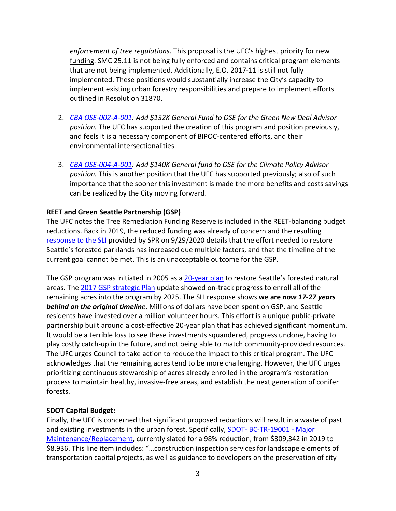*enforcement of tree regulations*. This proposal is the UFC's highest priority for new funding. SMC 25.11 is not being fully enforced and contains critical program elements that are not being implemented. Additionally, E.O. 2017-11 is still not fully implemented. These positions would substantially increase the City's capacity to implement existing urban forestry responsibilities and prepare to implement efforts outlined in [Resolution 31870.](http://seattle.legistar.com/View.ashx?M=F&ID=7130170&GUID=94E2C088-2BAB-4624-83A7-A4D89351CE4B)

- 2. *[CBA OSE-002-A-001:](http://seattle.legistar.com/View.ashx?M=F&ID=8879238&GUID=61D1825B-D986-44F2-8626-FFB3E5BB2BD7) Add \$132K General Fund to OSE for the Green New Deal Advisor position.* The UFC has supported the creation of this program and position previously, and feels it is a necessary component of BIPOC-centered efforts, and their environmental intersectionalities.
- 3. *[CBA OSE-004-A-001:](http://seattle.legistar.com/View.ashx?M=F&ID=8879240&GUID=5AABF5D6-6FF2-4315-8AF6-64E495320D73) Add \$140K General fund to OSE for the Climate Policy Advisor position.* This is another position that the UFC has supported previously; also of such importance that the sooner this investment is made the more benefits and costs savings can be realized by the City moving forward.

### **REET and Green Seattle Partnership (GSP)**

The UFC notes the Tree Remediation Funding Reserve is included in the REET-balancing budget reductions. Back in 2019, the reduced funding was already of concern and the resulting [response to the SLI](http://www.seattle.gov/Documents/Departments/UrbanForestryCommission/Resources/GSP-SLIResponseToCouncil092920.pdf) provided by SPR on 9/29/2020 details that the effort needed to restore Seattle's forested parklands has increased due multiple factors, and that the timeline of the current goal cannot be met. This is an unacceptable outcome for the GSP.

The GSP program was initiated in 2005 as a [20-year plan](https://www.greenseattle.org/wp-content/uploads/2019/02/GSP_20YrPlan5.1.06_optimized_reduced.pdf) to restore Seattle's forested natural areas. The [2017 GSP strategic Plan](https://www.greenseattle.org/wp-content/uploads/2018/01/GSP-Strategic-Plan-Update-01.19.18-reduced-file-size.pdf) update showed on-track progress to enroll all of the remaining acres into the program by 2025. The SLI response shows **we are** *now 17-27 years behind on the original timeline*. Millions of dollars have been spent on GSP, and Seattle residents have invested over a million volunteer hours. This effort is a unique public-private partnership built around a cost-effective 20-year plan that has achieved significant momentum. It would be a terrible loss to see these investments squandered, progress undone, having to play costly catch-up in the future, and not being able to match community-provided resources. The UFC urges Council to take action to reduce the impact to this critical program. The UFC acknowledges that the remaining acres tend to be more challenging. However, the UFC urges prioritizing continuous stewardship of acres already enrolled in the program's restoration process to maintain healthy, invasive-free areas, and establish the next generation of conifer forests.

### **SDOT Capital Budget:**

Finally, the UFC is concerned that significant proposed reductions will result in a waste of past and existing investments in the urban forest. Specifically, SDOT- [BC-TR-19001 -](http://www.seattle.gov/Documents/Departments/FinanceDepartment/21proposedbudget/SDOT.pdf) Major [Maintenance/Replacement,](http://www.seattle.gov/Documents/Departments/FinanceDepartment/21proposedbudget/SDOT.pdf) currently slated for a 98% reduction, from \$309,342 in 2019 to \$8,936. This line item includes: "…construction inspection services for landscape elements of transportation capital projects, as well as guidance to developers on the preservation of city